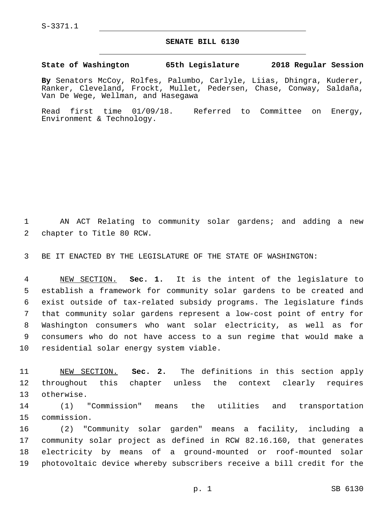S-3371.1

## **SENATE BILL 6130**

**State of Washington 65th Legislature 2018 Regular Session**

**By** Senators McCoy, Rolfes, Palumbo, Carlyle, Liias, Dhingra, Kuderer, Ranker, Cleveland, Frockt, Mullet, Pedersen, Chase, Conway, Saldaña, Van De Wege, Wellman, and Hasegawa

Read first time 01/09/18. Referred to Committee on Energy, Environment & Technology.

 AN ACT Relating to community solar gardens; and adding a new 2 chapter to Title 80 RCW.

BE IT ENACTED BY THE LEGISLATURE OF THE STATE OF WASHINGTON:

 NEW SECTION. **Sec. 1.** It is the intent of the legislature to establish a framework for community solar gardens to be created and exist outside of tax-related subsidy programs. The legislature finds that community solar gardens represent a low-cost point of entry for Washington consumers who want solar electricity, as well as for consumers who do not have access to a sun regime that would make a residential solar energy system viable.

 NEW SECTION. **Sec. 2.** The definitions in this section apply throughout this chapter unless the context clearly requires otherwise.

 (1) "Commission" means the utilities and transportation 15 commission.

 (2) "Community solar garden" means a facility, including a community solar project as defined in RCW 82.16.160, that generates electricity by means of a ground-mounted or roof-mounted solar photovoltaic device whereby subscribers receive a bill credit for the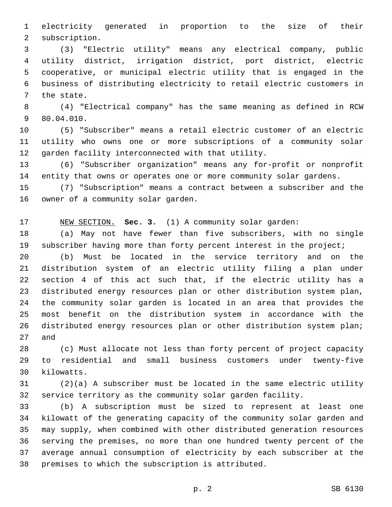electricity generated in proportion to the size of their 2 subscription.

 (3) "Electric utility" means any electrical company, public utility district, irrigation district, port district, electric cooperative, or municipal electric utility that is engaged in the business of distributing electricity to retail electric customers in 7 the state.

 (4) "Electrical company" has the same meaning as defined in RCW 9 80.04.010.

 (5) "Subscriber" means a retail electric customer of an electric utility who owns one or more subscriptions of a community solar 12 garden facility interconnected with that utility.

 (6) "Subscriber organization" means any for-profit or nonprofit entity that owns or operates one or more community solar gardens.

 (7) "Subscription" means a contract between a subscriber and the 16 owner of a community solar garden.

NEW SECTION. **Sec. 3.** (1) A community solar garden:

 (a) May not have fewer than five subscribers, with no single subscriber having more than forty percent interest in the project;

 (b) Must be located in the service territory and on the distribution system of an electric utility filing a plan under section 4 of this act such that, if the electric utility has a distributed energy resources plan or other distribution system plan, the community solar garden is located in an area that provides the most benefit on the distribution system in accordance with the distributed energy resources plan or other distribution system plan; and

 (c) Must allocate not less than forty percent of project capacity to residential and small business customers under twenty-five 30 kilowatts.

 (2)(a) A subscriber must be located in the same electric utility service territory as the community solar garden facility.

 (b) A subscription must be sized to represent at least one kilowatt of the generating capacity of the community solar garden and may supply, when combined with other distributed generation resources serving the premises, no more than one hundred twenty percent of the average annual consumption of electricity by each subscriber at the 38 premises to which the subscription is attributed.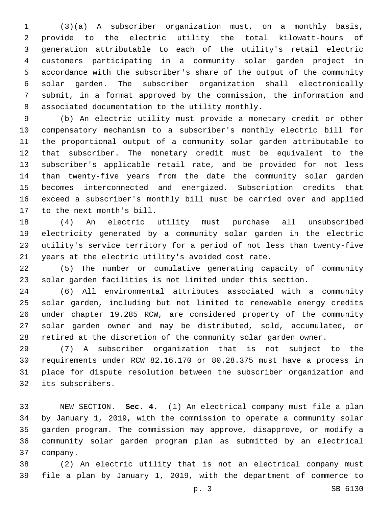(3)(a) A subscriber organization must, on a monthly basis, provide to the electric utility the total kilowatt-hours of generation attributable to each of the utility's retail electric customers participating in a community solar garden project in accordance with the subscriber's share of the output of the community solar garden. The subscriber organization shall electronically submit, in a format approved by the commission, the information and associated documentation to the utility monthly.8

 (b) An electric utility must provide a monetary credit or other compensatory mechanism to a subscriber's monthly electric bill for the proportional output of a community solar garden attributable to that subscriber. The monetary credit must be equivalent to the subscriber's applicable retail rate, and be provided for not less than twenty-five years from the date the community solar garden becomes interconnected and energized. Subscription credits that exceed a subscriber's monthly bill must be carried over and applied 17 to the next month's bill.

 (4) An electric utility must purchase all unsubscribed electricity generated by a community solar garden in the electric utility's service territory for a period of not less than twenty-five years at the electric utility's avoided cost rate.

 (5) The number or cumulative generating capacity of community solar garden facilities is not limited under this section.

 (6) All environmental attributes associated with a community solar garden, including but not limited to renewable energy credits under chapter 19.285 RCW, are considered property of the community solar garden owner and may be distributed, sold, accumulated, or retired at the discretion of the community solar garden owner.

 (7) A subscriber organization that is not subject to the requirements under RCW 82.16.170 or 80.28.375 must have a process in place for dispute resolution between the subscriber organization and 32 its subscribers.

 NEW SECTION. **Sec. 4.** (1) An electrical company must file a plan by January 1, 2019, with the commission to operate a community solar garden program. The commission may approve, disapprove, or modify a community solar garden program plan as submitted by an electrical company.

 (2) An electric utility that is not an electrical company must file a plan by January 1, 2019, with the department of commerce to